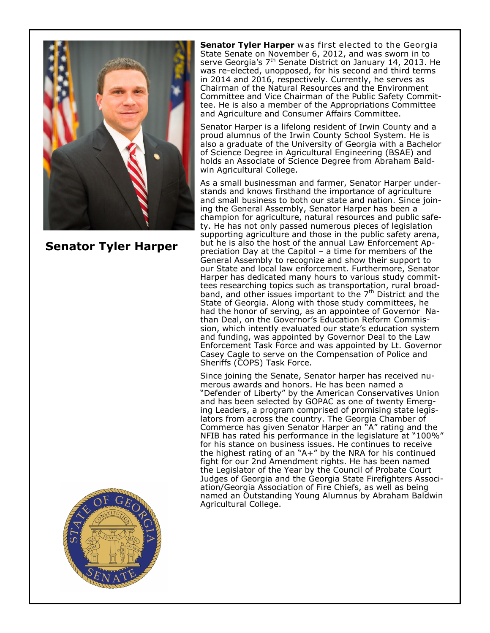

**Senator Tyler Harper**

**Senator Tyler Harper** w as first elected to the Georgia State Senate on November 6, 2012, and was sworn in to serve Georgia's 7<sup>th</sup> Senate District on January 14, 2013. He was re-elected, unopposed, for his second and third terms in 2014 and 2016, respectively. Currently, he serves as Chairman of the Natural Resources and the Environment Committee and Vice Chairman of the Public Safety Committee. He is also a member of the Appropriations Committee and Agriculture and Consumer Affairs Committee.

Senator Harper is a lifelong resident of Irwin County and a proud alumnus of the Irwin County School System. He is also a graduate of the University of Georgia with a Bachelor of Science Degree in Agricultural Engineering (BSAE) and holds an Associate of Science Degree from Abraham Baldwin Agricultural College.

As a small businessman and farmer, Senator Harper understands and knows firsthand the importance of agriculture and small business to both our state and nation. Since joining the General Assembly, Senator Harper has been a champion for agriculture, natural resources and public safety. He has not only passed numerous pieces of legislation supporting agriculture and those in the public safety arena, but he is also the host of the annual Law Enforcement Appreciation Day at the Capitol – a time for members of the General Assembly to recognize and show their support to our State and local law enforcement. Furthermore, Senator Harper has dedicated many hours to various study committees researching topics such as transportation, rural broadband, and other issues important to the  $7<sup>th</sup>$  District and the State of Georgia. Along with those study committees, he had the honor of serving, as an appointee of Governor Nathan Deal, on the Governor's Education Reform Commission, which intently evaluated our state's education system and funding, was appointed by Governor Deal to the Law Enforcement Task Force and was appointed by Lt. Governor Casey Cagle to serve on the Compensation of Police and Sheriffs (COPS) Task Force.

Since joining the Senate, Senator harper has received numerous awards and honors. He has been named a "Defender of Liberty" by the American Conservatives Union and has been selected by GOPAC as one of twenty Emerging Leaders, a program comprised of promising state legislators from across the country. The Georgia Chamber of Commerce has given Senator Harper an "A" rating and the NFIB has rated his performance in the legislature at "100%" for his stance on business issues. He continues to receive the highest rating of an "A+" by the NRA for his continued fight for our 2nd Amendment rights. He has been named the Legislator of the Year by the Council of Probate Court Judges of Georgia and the Georgia State Firefighters Association/Georgia Association of Fire Chiefs, as well as being named an Outstanding Young Alumnus by Abraham Baldwin Agricultural College.